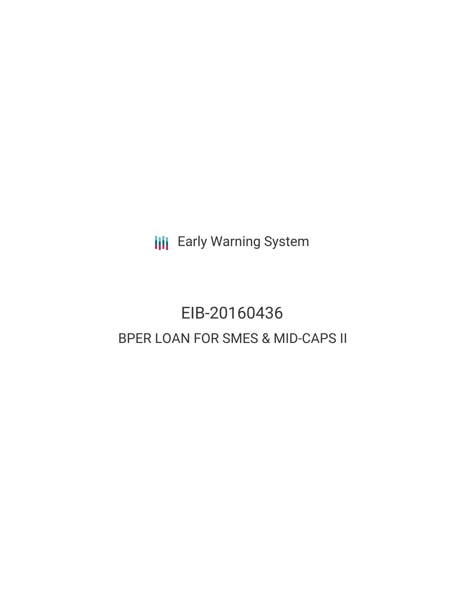**III** Early Warning System

# EIB-20160436 BPER LOAN FOR SMES & MID-CAPS II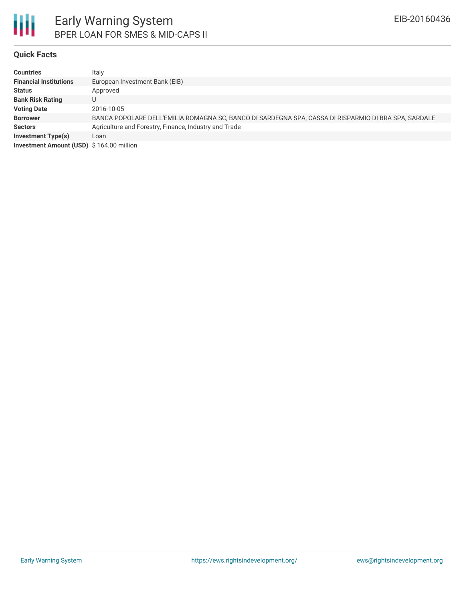

### **Quick Facts**

| <b>Countries</b>                         | Italy                                                                                                |
|------------------------------------------|------------------------------------------------------------------------------------------------------|
| <b>Financial Institutions</b>            | European Investment Bank (EIB)                                                                       |
| <b>Status</b>                            | Approved                                                                                             |
| <b>Bank Risk Rating</b>                  |                                                                                                      |
| <b>Voting Date</b>                       | 2016-10-05                                                                                           |
| <b>Borrower</b>                          | BANCA POPOLARE DELL'EMILIA ROMAGNA SC, BANCO DI SARDEGNA SPA, CASSA DI RISPARMIO DI BRA SPA, SARDALE |
| <b>Sectors</b>                           | Agriculture and Forestry, Finance, Industry and Trade                                                |
| <b>Investment Type(s)</b>                | Loan                                                                                                 |
| Investment Amount (USD) \$164.00 million |                                                                                                      |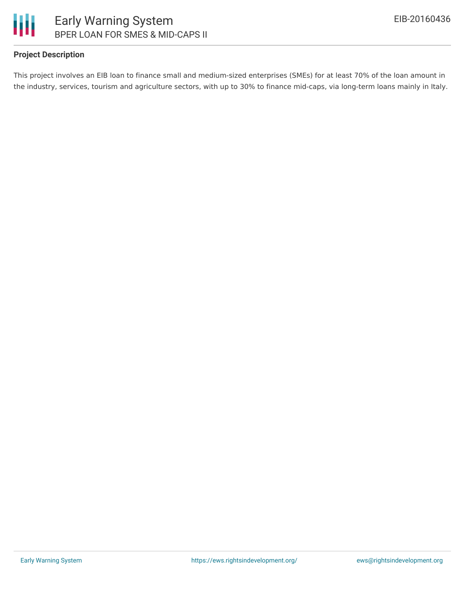

# **Project Description**

This project involves an EIB loan to finance small and medium-sized enterprises (SMEs) for at least 70% of the loan amount in the industry, services, tourism and agriculture sectors, with up to 30% to finance mid-caps, via long-term loans mainly in Italy.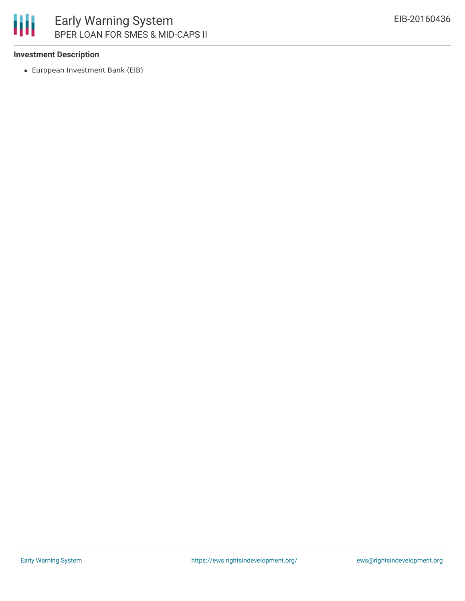

# **Investment Description**

European Investment Bank (EIB)